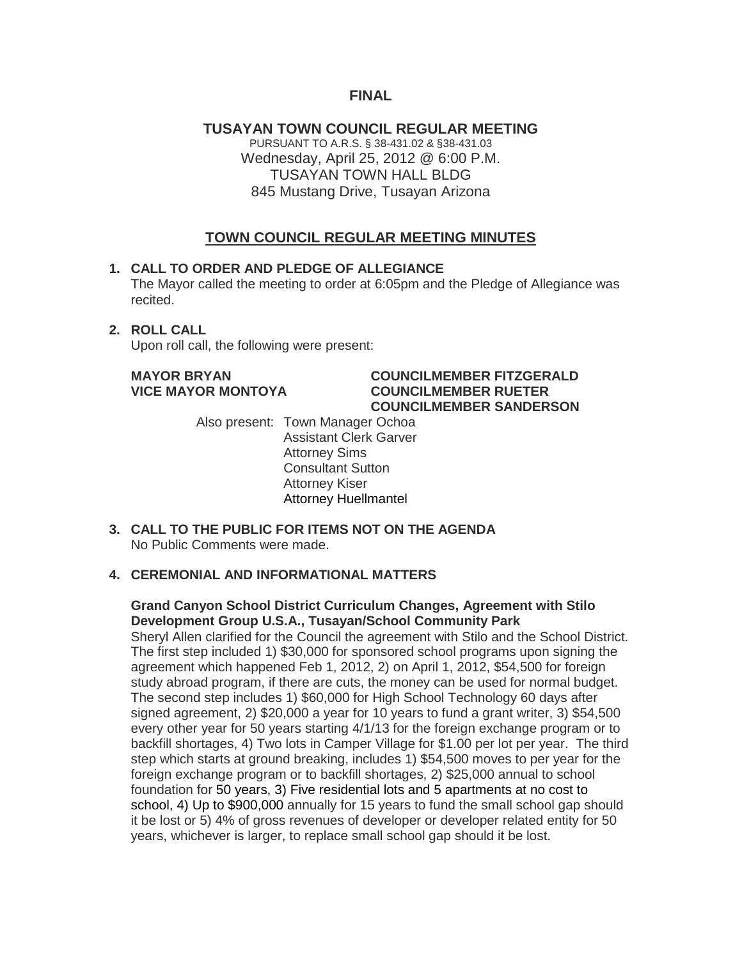#### **FINAL**

**TUSAYAN TOWN COUNCIL REGULAR MEETING** PURSUANT TO A.R.S. § 38-431.02 & §38-431.03 Wednesday, April 25, 2012 @ 6:00 P.M. TUSAYAN TOWN HALL BLDG 845 Mustang Drive, Tusayan Arizona

#### **TOWN COUNCIL REGULAR MEETING MINUTES**

#### **1. CALL TO ORDER AND PLEDGE OF ALLEGIANCE**

The Mayor called the meeting to order at 6:05pm and the Pledge of Allegiance was recited.

#### **2. ROLL CALL**

Upon roll call, the following were present:

#### **MAYOR BRYAN COUNCILMEMBER FITZGERALD VICE MAYOR MONTOYA COUNCILMEMBER RUETER COUNCILMEMBER SANDERSON**

Also present: Town Manager Ochoa Assistant Clerk Garver Attorney Sims Consultant Sutton Attorney Kiser Attorney Huellmantel

**3. CALL TO THE PUBLIC FOR ITEMS NOT ON THE AGENDA**  No Public Comments were made.

#### **4. CEREMONIAL AND INFORMATIONAL MATTERS**

#### **Grand Canyon School District Curriculum Changes, Agreement with Stilo Development Group U.S.A., Tusayan/School Community Park**

Sheryl Allen clarified for the Council the agreement with Stilo and the School District. The first step included 1) \$30,000 for sponsored school programs upon signing the agreement which happened Feb 1, 2012, 2) on April 1, 2012, \$54,500 for foreign study abroad program, if there are cuts, the money can be used for normal budget. The second step includes 1) \$60,000 for High School Technology 60 days after signed agreement, 2) \$20,000 a year for 10 years to fund a grant writer, 3) \$54,500 every other year for 50 years starting 4/1/13 for the foreign exchange program or to backfill shortages, 4) Two lots in Camper Village for \$1.00 per lot per year. The third step which starts at ground breaking, includes 1) \$54,500 moves to per year for the foreign exchange program or to backfill shortages, 2) \$25,000 annual to school foundation for 50 years, 3) Five residential lots and 5 apartments at no cost to school, 4) Up to \$900,000 annually for 15 years to fund the small school gap should it be lost or 5) 4% of gross revenues of developer or developer related entity for 50 years, whichever is larger, to replace small school gap should it be lost.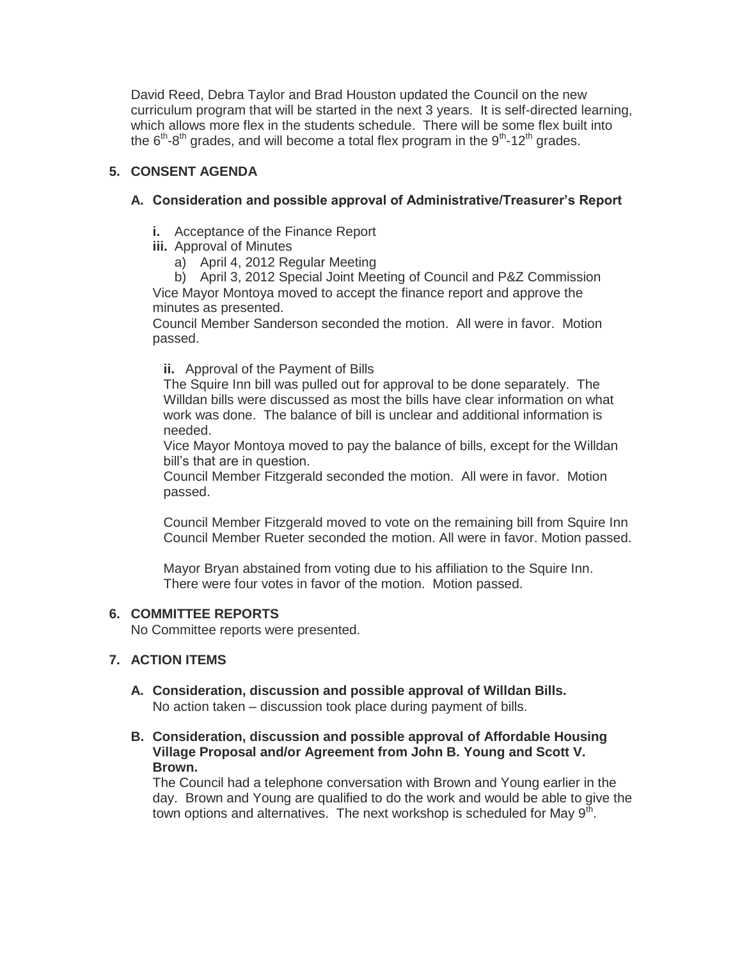David Reed, Debra Taylor and Brad Houston updated the Council on the new curriculum program that will be started in the next 3 years. It is self-directed learning, which allows more flex in the students schedule. There will be some flex built into the 6<sup>th</sup>-8<sup>th</sup> grades, and will become a total flex program in the 9<sup>th</sup>-12<sup>th</sup> grades.

### **5. CONSENT AGENDA**

#### **A. Consideration and possible approval of Administrative/Treasurer's Report**

- **i.** Acceptance of the Finance Report
- **iii.** Approval of Minutes
	- a) April 4, 2012 Regular Meeting

b) April 3, 2012 Special Joint Meeting of Council and P&Z Commission Vice Mayor Montoya moved to accept the finance report and approve the minutes as presented.

Council Member Sanderson seconded the motion. All were in favor. Motion passed.

**ii.** Approval of the Payment of Bills

The Squire Inn bill was pulled out for approval to be done separately. The Willdan bills were discussed as most the bills have clear information on what work was done. The balance of bill is unclear and additional information is needed.

Vice Mayor Montoya moved to pay the balance of bills, except for the Willdan bill's that are in question.

Council Member Fitzgerald seconded the motion. All were in favor. Motion passed.

Council Member Fitzgerald moved to vote on the remaining bill from Squire Inn Council Member Rueter seconded the motion. All were in favor. Motion passed.

Mayor Bryan abstained from voting due to his affiliation to the Squire Inn. There were four votes in favor of the motion. Motion passed.

#### **6. COMMITTEE REPORTS**

No Committee reports were presented.

#### **7. ACTION ITEMS**

- **A. Consideration, discussion and possible approval of Willdan Bills.** No action taken – discussion took place during payment of bills.
- **B. Consideration, discussion and possible approval of Affordable Housing Village Proposal and/or Agreement from John B. Young and Scott V. Brown.**

The Council had a telephone conversation with Brown and Young earlier in the day. Brown and Young are qualified to do the work and would be able to give the town options and alternatives. The next workshop is scheduled for May 9<sup>th</sup>.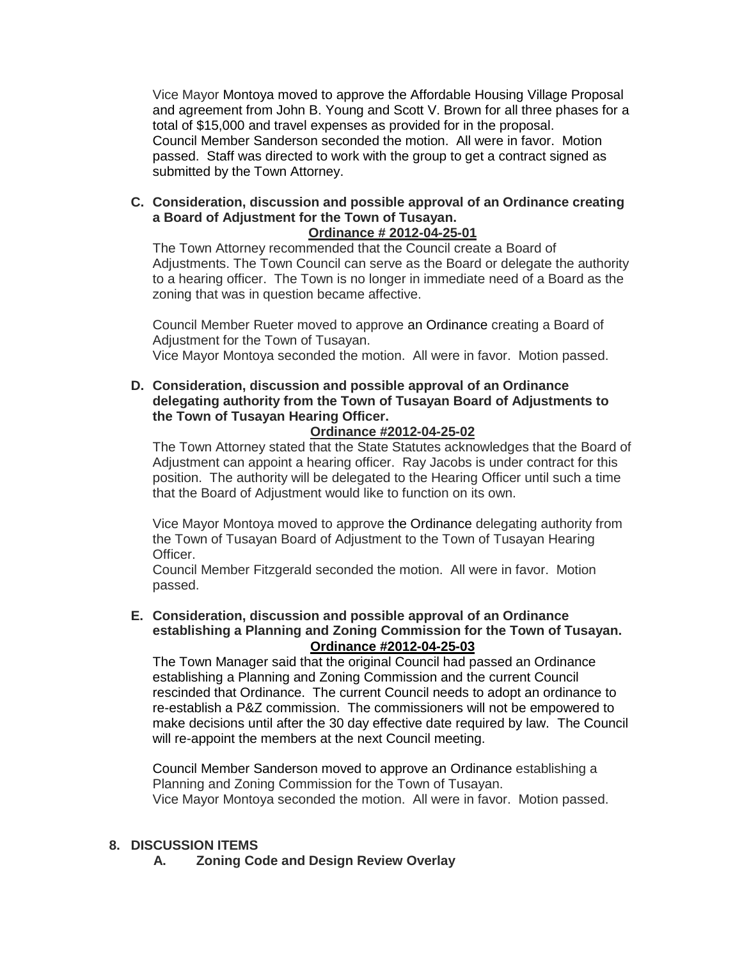Vice Mayor Montoya moved to approve the Affordable Housing Village Proposal and agreement from John B. Young and Scott V. Brown for all three phases for a total of \$15,000 and travel expenses as provided for in the proposal. Council Member Sanderson seconded the motion. All were in favor. Motion passed. Staff was directed to work with the group to get a contract signed as submitted by the Town Attorney.

**C. Consideration, discussion and possible approval of an Ordinance creating a Board of Adjustment for the Town of Tusayan.**

**Ordinance # 2012-04-25-01**

The Town Attorney recommended that the Council create a Board of Adjustments. The Town Council can serve as the Board or delegate the authority to a hearing officer. The Town is no longer in immediate need of a Board as the zoning that was in question became affective.

Council Member Rueter moved to approve an Ordinance creating a Board of Adjustment for the Town of Tusayan.

Vice Mayor Montoya seconded the motion. All were in favor. Motion passed.

**D. Consideration, discussion and possible approval of an Ordinance delegating authority from the Town of Tusayan Board of Adjustments to the Town of Tusayan Hearing Officer.**

#### **Ordinance #2012-04-25-02**

The Town Attorney stated that the State Statutes acknowledges that the Board of Adjustment can appoint a hearing officer. Ray Jacobs is under contract for this position. The authority will be delegated to the Hearing Officer until such a time that the Board of Adjustment would like to function on its own.

Vice Mayor Montoya moved to approve the Ordinance delegating authority from the Town of Tusayan Board of Adjustment to the Town of Tusayan Hearing Officer.

Council Member Fitzgerald seconded the motion. All were in favor. Motion passed.

**E. Consideration, discussion and possible approval of an Ordinance establishing a Planning and Zoning Commission for the Town of Tusayan. Ordinance #2012-04-25-03**

The Town Manager said that the original Council had passed an Ordinance establishing a Planning and Zoning Commission and the current Council rescinded that Ordinance. The current Council needs to adopt an ordinance to re-establish a P&Z commission. The commissioners will not be empowered to make decisions until after the 30 day effective date required by law. The Council will re-appoint the members at the next Council meeting.

Council Member Sanderson moved to approve an Ordinance establishing a Planning and Zoning Commission for the Town of Tusayan. Vice Mayor Montoya seconded the motion. All were in favor. Motion passed.

#### **8. DISCUSSION ITEMS**

 **A. Zoning Code and Design Review Overlay**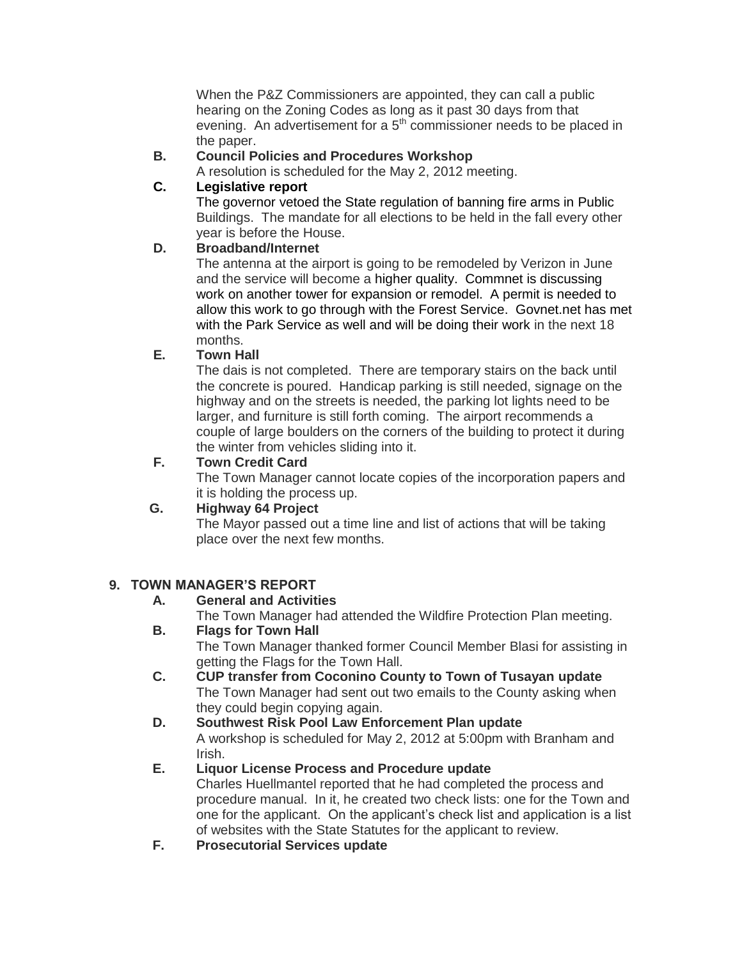When the P&Z Commissioners are appointed, they can call a public hearing on the Zoning Codes as long as it past 30 days from that evening. An advertisement for a  $5<sup>th</sup>$  commissioner needs to be placed in the paper.

#### **B. Council Policies and Procedures Workshop**

A resolution is scheduled for the May 2, 2012 meeting.

#### **C. Legislative report**

The governor vetoed the State regulation of banning fire arms in Public Buildings. The mandate for all elections to be held in the fall every other year is before the House.

#### **D. Broadband/Internet**

The antenna at the airport is going to be remodeled by Verizon in June and the service will become a higher quality. Commnet is discussing work on another tower for expansion or remodel. A permit is needed to allow this work to go through with the Forest Service. Govnet.net has met with the Park Service as well and will be doing their work in the next 18 months.

#### **E. Town Hall**

The dais is not completed. There are temporary stairs on the back until the concrete is poured. Handicap parking is still needed, signage on the highway and on the streets is needed, the parking lot lights need to be larger, and furniture is still forth coming. The airport recommends a couple of large boulders on the corners of the building to protect it during the winter from vehicles sliding into it.

#### **F. Town Credit Card**

The Town Manager cannot locate copies of the incorporation papers and it is holding the process up.

#### **G. Highway 64 Project**

The Mayor passed out a time line and list of actions that will be taking place over the next few months.

#### **9. TOWN MANAGER'S REPORT**

#### **A. General and Activities**

The Town Manager had attended the Wildfire Protection Plan meeting.

#### **B. Flags for Town Hall**

The Town Manager thanked former Council Member Blasi for assisting in getting the Flags for the Town Hall.

- **C. CUP transfer from Coconino County to Town of Tusayan update** The Town Manager had sent out two emails to the County asking when they could begin copying again.
- **D. Southwest Risk Pool Law Enforcement Plan update** A workshop is scheduled for May 2, 2012 at 5:00pm with Branham and Irish.

#### **E. Liquor License Process and Procedure update** Charles Huellmantel reported that he had completed the process and procedure manual. In it, he created two check lists: one for the Town and one for the applicant. On the applicant's check list and application is a list of websites with the State Statutes for the applicant to review.

**F. Prosecutorial Services update**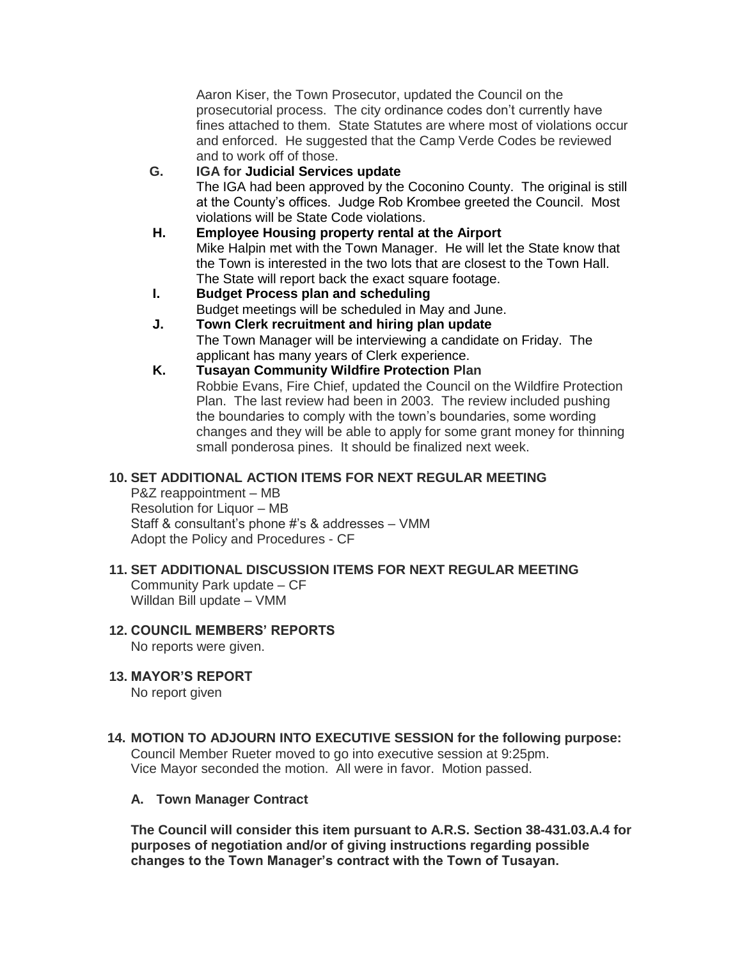Aaron Kiser, the Town Prosecutor, updated the Council on the prosecutorial process. The city ordinance codes don't currently have fines attached to them. State Statutes are where most of violations occur and enforced. He suggested that the Camp Verde Codes be reviewed and to work off of those.

- **G. IGA for Judicial Services update** The IGA had been approved by the Coconino County. The original is still at the County's offices. Judge Rob Krombee greeted the Council. Most violations will be State Code violations.
- **H. Employee Housing property rental at the Airport** Mike Halpin met with the Town Manager. He will let the State know that the Town is interested in the two lots that are closest to the Town Hall. The State will report back the exact square footage.
- **I. Budget Process plan and scheduling** Budget meetings will be scheduled in May and June.
- **J. Town Clerk recruitment and hiring plan update** The Town Manager will be interviewing a candidate on Friday. The applicant has many years of Clerk experience.
- **K. Tusayan Community Wildfire Protection Plan** Robbie Evans, Fire Chief, updated the Council on the Wildfire Protection Plan. The last review had been in 2003. The review included pushing the boundaries to comply with the town's boundaries, some wording changes and they will be able to apply for some grant money for thinning small ponderosa pines. It should be finalized next week.

### **10. SET ADDITIONAL ACTION ITEMS FOR NEXT REGULAR MEETING**

P&Z reappointment – MB Resolution for Liquor – MB Staff & consultant's phone #'s & addresses – VMM Adopt the Policy and Procedures - CF

## **11. SET ADDITIONAL DISCUSSION ITEMS FOR NEXT REGULAR MEETING**

Community Park update – CF Willdan Bill update – VMM

#### **12. COUNCIL MEMBERS' REPORTS** No reports were given.

# **13. MAYOR'S REPORT**

No report given

#### **14. MOTION TO ADJOURN INTO EXECUTIVE SESSION for the following purpose:** Council Member Rueter moved to go into executive session at 9:25pm. Vice Mayor seconded the motion. All were in favor. Motion passed.

#### **A. Town Manager Contract**

**The Council will consider this item pursuant to A.R.S. Section 38-431.03.A.4 for purposes of negotiation and/or of giving instructions regarding possible changes to the Town Manager's contract with the Town of Tusayan.**